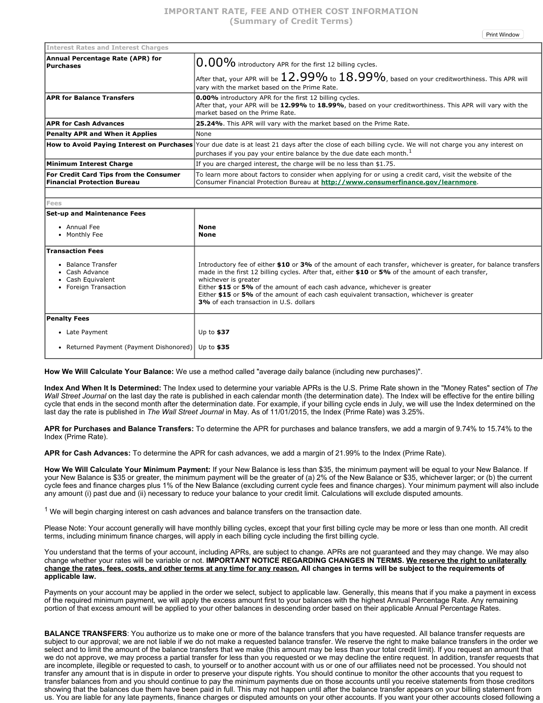Print Window

| <b>Interest Rates and Interest Charges</b>                                   |                                                                                                                                                                                                                                                 |
|------------------------------------------------------------------------------|-------------------------------------------------------------------------------------------------------------------------------------------------------------------------------------------------------------------------------------------------|
| Annual Percentage Rate (APR) for<br> Purchases                               | $ 0.00\%$ introductory APR for the first 12 billing cycles.                                                                                                                                                                                     |
|                                                                              | $ $ After that, your APR will be $12.99\%$ to $18.99\%$ , based on your creditworthiness. This APR will<br>vary with the market based on the Prime Rate.                                                                                        |
| <b>APR for Balance Transfers</b>                                             | 0.00% introductory APR for the first 12 billing cycles.<br>After that, your APR will be 12.99% to 18.99%, based on your creditworthiness. This APR will vary with the<br>market based on the Prime Rate.                                        |
| <b>APR for Cash Advances</b>                                                 | <b>25.24%.</b> This APR will vary with the market based on the Prime Rate.                                                                                                                                                                      |
| <b>Penalty APR and When it Applies</b>                                       | None                                                                                                                                                                                                                                            |
|                                                                              | How to Avoid Paying Interest on Purchases Your due date is at least 21 days after the close of each billing cycle. We will not charge you any interest on<br> purchases if you pay your entire balance by the due date each month. <sup>1</sup> |
| Minimum Interest Charge                                                      | If you are charged interest, the charge will be no less than \$1.75.                                                                                                                                                                            |
| For Credit Card Tips from the Consumer<br><b>Financial Protection Bureau</b> | To learn more about factors to consider when applying for or using a credit card, visit the website of the<br>Consumer Financial Protection Bureau at http://www.consumerfinance.gov/learnmore.                                                 |

## **Fees Set-up and Maintenance Fees** Annual Fee • Monthly Fee **None None Transaction Fees** • Balance Transfer Cash Advance Cash Equivalent • Foreign Transaction Introductory fee of either **\$10** or **3%** of the amount of each transfer, whichever is greater, for balance transfers made in the first 12 billing cycles. After that, either **\$10** or **5%** of the amount of each transfer, whichever is greater Either **\$15** or **5%** of the amount of each cash advance, whichever is greater Either **\$15** or **5%** of the amount of each cash equivalent transaction, whichever is greater **3%** of each transaction in U.S. dollars **Penalty Fees** Late Payment • Returned Payment (Payment Dishonored) Up to **\$37** Up to **\$35**

**How We Will Calculate Your Balance:** We use a method called "average daily balance (including new purchases)".

**Index And When It Is Determined:** The Index used to determine your variable APRs is the U.S. Prime Rate shown in the "Money Rates" section of *The Wall Street Journal* on the last day the rate is published in each calendar month (the determination date). The Index will be effective for the entire billing cycle that ends in the second month after the determination date. For example, if your billing cycle ends in July, we will use the Index determined on the last day the rate is published in *The Wall Street Journal* in May. As of 11/01/2015, the Index (Prime Rate) was 3.25%.

**APR for Purchases and Balance Transfers:** To determine the APR for purchases and balance transfers, we add a margin of 9.74% to 15.74% to the Index (Prime Rate).

**APR for Cash Advances:** To determine the APR for cash advances, we add a margin of 21.99% to the Index (Prime Rate).

**How We Will Calculate Your Minimum Payment:** If your New Balance is less than \$35, the minimum payment will be equal to your New Balance. If your New Balance is \$35 or greater, the minimum payment will be the greater of (a) 2% of the New Balance or \$35, whichever larger; or (b) the current cycle fees and finance charges plus 1% of the New Balance (excluding current cycle fees and finance charges). Your minimum payment will also include any amount (i) past due and (ii) necessary to reduce your balance to your credit limit. Calculations will exclude disputed amounts.

 $1$  We will begin charging interest on cash advances and balance transfers on the transaction date.

Please Note: Your account generally will have monthly billing cycles, except that your first billing cycle may be more or less than one month. All credit terms, including minimum finance charges, will apply in each billing cycle including the first billing cycle.

You understand that the terms of your account, including APRs, are subject to change. APRs are not guaranteed and they may change. We may also change whether your rates will be variable or not. **IMPORTANT NOTICE REGARDING CHANGES IN TERMS. We reserve the right to unilaterally** change the rates, fees, costs, and other terms at any time for any reason. All changes in terms will be subject to the requirements of **applicable law.**

Payments on your account may be applied in the order we select, subject to applicable law. Generally, this means that if you make a payment in excess of the required minimum payment, we will apply the excess amount first to your balances with the highest Annual Percentage Rate. Any remaining portion of that excess amount will be applied to your other balances in descending order based on their applicable Annual Percentage Rates.

**BALANCE TRANSFERS**: You authorize us to make one or more of the balance transfers that you have requested. All balance transfer requests are subject to our approval; we are not liable if we do not make a requested balance transfer. We reserve the right to make balance transfers in the order we select and to limit the amount of the balance transfers that we make (this amount may be less than your total credit limit). If you request an amount that we do not approve, we may process a partial transfer for less than you requested or we may decline the entire request. In addition, transfer requests that are incomplete, illegible or requested to cash, to yourself or to another account with us or one of our affiliates need not be processed. You should not transfer any amount that is in dispute in order to preserve your dispute rights. You should continue to monitor the other accounts that you request to transfer balances from and you should continue to pay the minimum payments due on those accounts until you receive statements from those creditors showing that the balances due them have been paid in full. This may not happen until after the balance transfer appears on your billing statement from us. You are liable for any late payments, finance charges or disputed amounts on your other accounts. If you want your other accounts closed following a